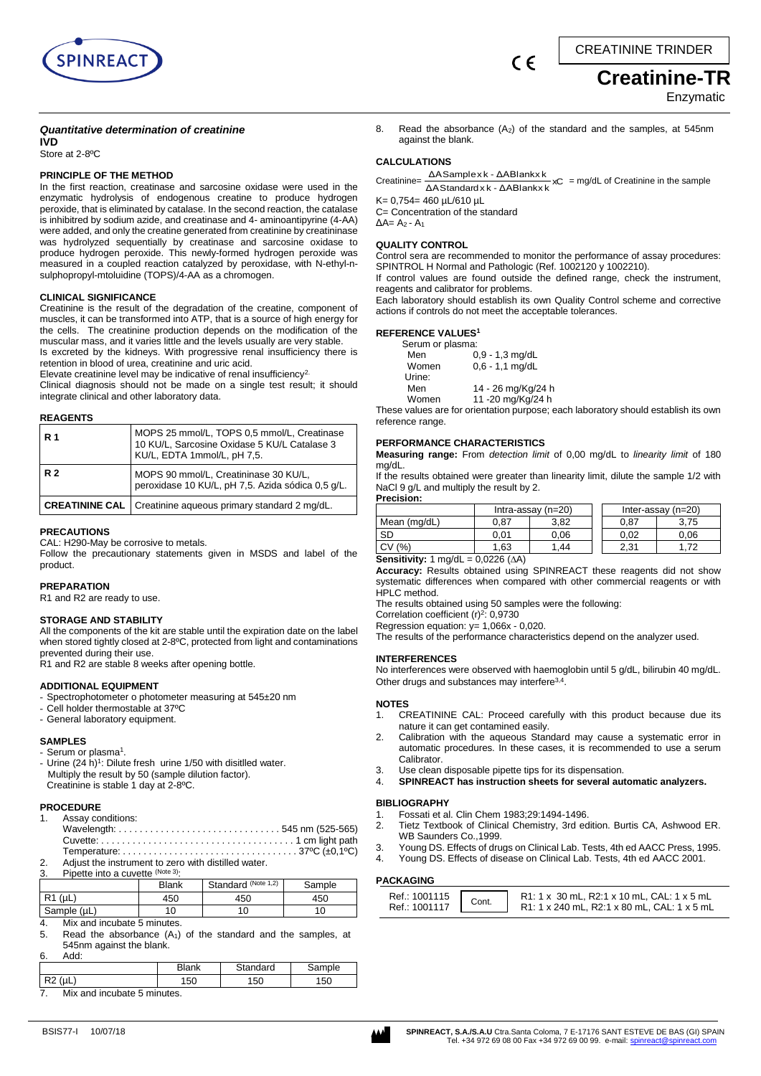



# *Quantitative determination of creatinine*

**IVD** Store at 2-8ºC

#### **PRINCIPLE OF THE METHOD**

In the first reaction, creatinase and sarcosine oxidase were used in the enzymatic hydrolysis of endogenous creatine to produce hydrogen peroxide, that is eliminated by catalase. In the second reaction, the catalase is inhibitred by sodium azide, and creatinase and 4- aminoantipyrine (4-AA) were added, and only the creatine generated from creatinine by creatininase was hydrolyzed sequentially by creatinase and sarcosine oxidase to produce hydrogen peroxide. This newly-formed hydrogen peroxide was measured in a coupled reaction catalyzed by peroxidase, with N-ethyl-nsulphopropyl-mtoluidine (TOPS)/4-AA as a chromogen.

#### **CLINICAL SIGNIFICANCE**

Creatinine is the result of the degradation of the creatine, component of muscles, it can be transformed into ATP, that is a source of high energy for the cells. The creatinine production depends on the modification of the muscular mass, and it varies little and the levels usually are very stable.

Is excreted by the kidneys. With progressive renal insufficiency there is retention in blood of urea, creatinine and uric acid.

Elevate creatinine level may be indicative of renal insufficiency<sup>2</sup>

Clinical diagnosis should not be made on a single test result; it should integrate clinical and other laboratory data.

#### **REAGENTS**

| <b>R</b> 1 | MOPS 25 mmol/L, TOPS 0,5 mmol/L, Creatinase<br>10 KU/L, Sarcosine Oxidase 5 KU/L Catalase 3<br>KU/L, EDTA 1mmol/L, pH 7,5. |
|------------|----------------------------------------------------------------------------------------------------------------------------|
| <b>R2</b>  | MOPS 90 mmol/L, Creatininase 30 KU/L,<br>peroxidase 10 KU/L, pH 7,5. Azida sódica 0,5 g/L.                                 |
|            | <b>CREATININE CAL</b>   Creatinine aqueous primary standard 2 mg/dL.                                                       |

#### **PRECAUTIONS**

CAL: H290-May be corrosive to metals.

Follow the precautionary statements given in MSDS and label of the product.

#### **PREPARATION**

R1 and R2 are ready to use.

#### **STORAGE AND STABILITY**

All the components of the kit are stable until the expiration date on the label when stored tightly closed at 2-8ºC, protected from light and contaminations prevented during their use.

R1 and R2 are stable 8 weeks after opening bottle.

#### **ADDITIONAL EQUIPMENT**

- Spectrophotometer o photometer measuring at 545±20 nm
- Cell holder thermostable at 37ºC
- General laboratory equipment.

#### **SAMPLES**

- Serum or plasma<sup>1</sup>. - Urine (24 h)<sup>1</sup>: Dilute fresh urine 1/50 with disitlled water. Multiply the result by 50 (sample dilution factor). Creatinine is stable 1 day at 2-8ºC.

#### **PROCEDURE**

1. Assay conditions:

| 2. Adjust the instrument to zero with distilled water. |  |
|--------------------------------------------------------|--|

3. Pipette into a cuvette (Note 3):

|              | Blank | Standard (Note 1,2) | Sample |
|--------------|-------|---------------------|--------|
| l R1<br>(uL) | 450   | 450                 | 450    |
| Sample (µL)  | 10    | 10                  |        |

4. Mix and incubate 5 minutes.

5. Read the absorbance  $(A_1)$  of the standard and the samples, at 545nm against the blank. 6. Add:

| --<br>. |              |          |             |
|---------|--------------|----------|-------------|
|         | <b>Blank</b> | Standard | mple<br>odi |
| ⋯<br>⊶- | 150          | 50       | 150         |

7. Mix and incubate 5 minutes.



8. Read the absorbance  $(A_2)$  of the standard and the samples, at 545nm against the blank.

 $\epsilon$ 

# **CALCULATIONS**

Creatinine= <u>AAStandard x k - ΔABlank x</u> xC ΔASample x k - ΔABlank x k = mg/dL of Creatinine in the sample

K= 0,754= 460 µL/610 µL

C= Concentration of the standard  $\Delta$ A= A<sub>2</sub> - A<sub>1</sub>

#### **QUALITY CONTROL**

Control sera are recommended to monitor the performance of assay procedures: SPINTROL H Normal and Pathologic (Ref. 1002120 y 1002210).

If control values are found outside the defined range, check the instrument, reagents and calibrator for problems.

Each laboratory should establish its own Quality Control scheme and corrective actions if controls do not meet the acceptable tolerances.

#### **REFERENCE VALUES<sup>1</sup>**

| Serum or plasma: |                    |
|------------------|--------------------|
| Men              | $0,9 - 1,3$ mg/dL  |
| Women            | $0.6 - 1.1$ mg/dL  |
| Urine:           |                    |
| Men              | 14 - 26 mg/Kg/24 h |
| Women            | 11 -20 mg/Kg/24 h  |

These values are for orientation purpose; each laboratory should establish its own reference range.

#### **PERFORMANCE CHARACTERISTICS**

**Measuring range:** From *detection limit* of 0,00 mg/dL to *linearity limit* of 180 mg/dL.

If the results obtained were greater than linearity limit, dilute the sample 1/2 with NaCl 9 g/L and multiply the result by 2. **Precision:**

|                                           | Intra-assay $(n=20)$ |      |      | Inter-assay $(n=20)$ |
|-------------------------------------------|----------------------|------|------|----------------------|
| Mean (mg/dL)                              | 0.87                 | 3.82 | 0.87 | 3.75                 |
| SD                                        | 0.01                 | 0.06 | 0.02 | 0.06                 |
| CV (%)                                    | 1.63                 | 1.44 | 2.31 | -72                  |
| Consituator 1 mold = 0.0226 $(A \Lambda)$ |                      |      |      |                      |

**Sensitivity:** 1 mg/dL = 0,0226 (A)

**Accuracy:** Results obtained using SPINREACT these reagents did not show systematic differences when compared with other commercial reagents or with HPLC method.

The results obtained using 50 samples were the following:

Correlation coefficient (r)<sup>2</sup>: 0,9730

Regression equation: y= 1,066x - 0,020. The results of the performance characteristics depend on the analyzer used.

**INTERFERENCES** 

No interferences were observed with haemoglobin until 5 g/dL, bilirubin 40 mg/dL. Other drugs and substances may interfere<sup>3,4</sup>.

#### **NOTES**

- 1. CREATININE CAL: Proceed carefully with this product because due its nature it can get contamined easily.
- 2. Calibration with the aqueous Standard may cause a systematic error in automatic procedures. In these cases, it is recommended to use a serum Calibrator.
- 3. Use clean disposable pipette tips for its dispensation.<br>4. **SPINREACT has instruction sheets for several au**
- 4. **SPINREACT has instruction sheets for several automatic analyzers.**

#### **BIBLIOGRAPHY**

- 1. Fossati et al. Clin Chem 1983;29:1494-1496.
- 2. Tietz Textbook of Clinical Chemistry, 3rd edition. Burtis CA, Ashwood ER. WB Saunders Co.,1999.
- 3. Young DS. Effects of drugs on Clinical Lab. Tests, 4th ed AACC Press, 1995.
- 4. Young DS. Effects of disease on Clinical Lab. Tests, 4th ed AACC 2001.

### **PACKAGING**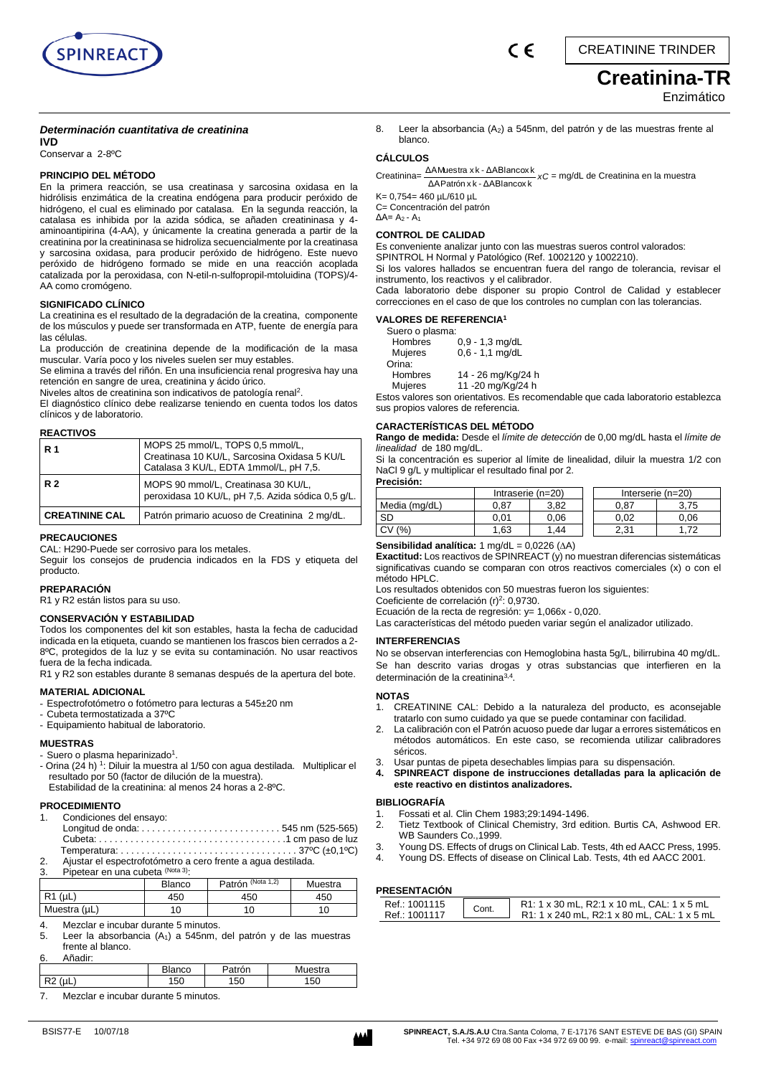

# **Creatinina-TR**  Enzimático

# *Determinación cuantitativa de creatinina*

**IVD** Conservar a 2-8ºC

#### **PRINCIPIO DEL MÉTODO**

En la primera reacción, se usa creatinasa y sarcosina oxidasa en la hidrólisis enzimática de la creatina endógena para producir peróxido de hidrógeno, el cual es eliminado por catalasa. En la segunda reacción, la catalasa es inhibida por la azida sódica, se añaden creatininasa y 4 aminoantipirina (4-AA), y únicamente la creatina generada a partir de la creatinina por la creatininasa se hidroliza secuencialmente por la creatinasa y sarcosina oxidasa, para producir peróxido de hidrógeno. Este nuevo peróxido de hidrógeno formado se mide en una reacción acoplada catalizada por la peroxidasa, con N-etil-n-sulfopropil-mtoluidina (TOPS)/4- AA como cromógeno.

#### **SIGNIFICADO CLÍNICO**

La creatinina es el resultado de la degradación de la creatina, componente de los músculos y puede ser transformada en ATP, fuente de energía para las células.

La producción de creatinina depende de la modificación de la masa muscular. Varía poco y los niveles suelen ser muy estables.

Se elimina a través del riñón. En una insuficiencia renal progresiva hay una retención en sangre de urea, creatinina y ácido úrico.

Niveles altos de creatinina son indicativos de patología renal<sup>2</sup>.

El diagnóstico clínico debe realizarse teniendo en cuenta todos los datos clínicos y de laboratorio.

#### **REACTIVOS**

| l R 1                 | MOPS 25 mmol/L, TOPS 0,5 mmol/L,<br>Creatinasa 10 KU/L, Sarcosina Oxidasa 5 KU/L<br>Catalasa 3 KU/L, EDTA 1mmol/L, pH 7,5. |
|-----------------------|----------------------------------------------------------------------------------------------------------------------------|
| <b>R2</b>             | MOPS 90 mmol/L, Creatinasa 30 KU/L,<br>peroxidasa 10 KU/L, pH 7,5. Azida sódica 0,5 g/L.                                   |
| <b>CREATININE CAL</b> | Patrón primario acuoso de Creatinina 2 mg/dL.                                                                              |

#### **PRECAUCIONES**

CAL: H290-Puede ser corrosivo para los metales.

Seguir los consejos de prudencia indicados en la FDS y etiqueta del producto.

#### **PREPARACIÓN**

R1 y R2 están listos para su uso.

#### **CONSERVACIÓN Y ESTABILIDAD**

Todos los componentes del kit son estables, hasta la fecha de caducidad indicada en la etiqueta, cuando se mantienen los frascos bien cerrados a 2- 8ºC, protegidos de la luz y se evita su contaminación. No usar reactivos fuera de la fecha indicada.

R1 y R2 son estables durante 8 semanas después de la apertura del bote.

### **MATERIAL ADICIONAL**

- Espectrofotómetro o fotómetro para lecturas a 545±20 nm
- Cubeta termostatizada a 37ºC
- Equipamiento habitual de laboratorio.

#### **MUESTRAS**

- Suero o plasma heparinizado<sup>1</sup>.
- Orina (24 h) <sup>1</sup> : Diluir la muestra al 1/50 con agua destilada.Multiplicar el resultado por 50 (factor de dilución de la muestra). Estabilidad de la creatinina: al menos 24 horas a 2-8ºC.

#### **PROCEDIMIENTO**

- 1. Condiciones del ensayo:
- Longitud de onda: . . . . . . . . . . . . . . . . . . . . . . . . . . . 545 nm (525-565) Cubeta: . . . . . . . . . . . . . . . . . . . . . . . . . . . . . . . . . . . .1 cm paso de luz Temperatura: . . . . . . . . . . . . . . . . . 2. Ajustar el espectrofotómetro a cero frente a agua destilada.

3. Pipetear en una cubeta (Nota 3).

|                 | Blanco | Patrón (Nota 1,2) | Muestra |
|-----------------|--------|-------------------|---------|
| $R1$ ( $\mu$ L) | 450    | 450               | 450     |
| Muestra (µL)    |        | 10                |         |

Mezclar e incubar durante 5 minutos.

5. Leer la absorbancia (A1) a 545nm, del patrón y de las muestras frente al blanco.

6. Añadir:

|             | anco      | Muestra<br>on |
|-------------|-----------|---------------|
| $\sim$<br>∼ | 150<br>50 | 150           |

7. Mezclar e incubar durante 5 minutos.

| <b>'RESENTACION</b> |       |                             |
|---------------------|-------|-----------------------------|
| Ref.: 1001115       | Cont. | R1: 1 x 30 mL, R2:1 x 10 mL |
|                     |       | .                           |

8. Leer la absorbancia  $(A_2)$  a 545nm, del patrón y de las muestras frente al blanco.

# **CÁLCULOS**

Creatinina= ΔAMuestra x k - ΔABlancox k<br>
xC = mg/dL de Creatinina en la muestra ΔΑΡatrón x k - ΔΑΒΙancox k

K= 0,754= 460 µL/610 µL C= Concentración del patrón

 $\Delta$ A= A<sub>2</sub> - A<sub>1</sub>

#### **CONTROL DE CALIDAD**

Es conveniente analizar junto con las muestras sueros control valorados: SPINTROL H Normal y Patológico (Ref. 1002120 y 1002210). Si los valores hallados se encuentran fuera del rango de tolerancia, revisar el

instrumento, los reactivos y el calibrador.

Cada laboratorio debe disponer su propio Control de Calidad y establecer correcciones en el caso de que los controles no cumplan con las tolerancias.

#### **VALORES DE REFERENCIA<sup>1</sup>**

| Suero o plasma:    |
|--------------------|
| $0,9 - 1,3$ mg/dL  |
| $0,6 - 1,1$ mg/dL  |
|                    |
| 14 - 26 mg/Kg/24 h |
|                    |

Mujeres 11 -20 mg/Kg/24 h

Estos valores son orientativos. Es recomendable que cada laboratorio establezca sus propios valores de referencia.

### **CARACTERÍSTICAS DEL MÉTODO**

**Rango de medida:** Desde el *límite de detección* de 0,00 mg/dL hasta el *límite de linealidad* de 180 mg/dL.

Si la concentración es superior al límite de linealidad, diluir la muestra 1/2 con NaCl 9 g/L y multiplicar el resultado final por 2.

| Precisión:    |                   |      |      |                   |
|---------------|-------------------|------|------|-------------------|
|               | Intraserie (n=20) |      |      | Interserie (n=20) |
| Media (mg/dL) | 0.87              | 3.82 | 0.87 | 3.75              |
| <b>SD</b>     | 0.01              | 0,06 | 0.02 | 0.06              |
| (% )          | 1.63              | 1.44 | 2.31 | 1.72              |
|               |                   |      |      |                   |

**Sensibilidad analítica:**  $1 \text{ mg/dL} = 0.0226 \text{ (}\Delta\text{A)}$ 

**Exactitud:** Los reactivos de SPINREACT (y) no muestran diferencias sistemáticas significativas cuando se comparan con otros reactivos comerciales (x) o con el método HPLC.

Los resultados obtenidos con 50 muestras fueron los siguientes:

Coeficiente de correlación (r)<sup>2</sup>: 0,9730.

Ecuación de la recta de regresión: y= 1,066x - 0,020.

Las características del método pueden variar según el analizador utilizado.

#### **INTERFERENCIAS**

No se observan interferencias con Hemoglobina hasta 5g/L, bilirrubina 40 mg/dL. Se han descrito varias drogas y otras substancias que interfieren en la determinación de la creatinina<sup>3,4</sup>.

#### **NOTAS**

- 1. CREATININE CAL: Debido a la naturaleza del producto, es aconsejable tratarlo con sumo cuidado ya que se puede contaminar con facilidad.
- La calibración con el Patrón acuoso puede dar lugar a errores sistemáticos en métodos automáticos. En este caso, se recomienda utilizar calibradores séricos.
- 3. Usar puntas de pipeta desechables limpias para su dispensación.
- **4. SPINREACT dispone de instrucciones detalladas para la aplicación de este reactivo en distintos analizadores.**

#### **BIBLIOGRAFÍA**

- 
- 1. Fossati et al. Clin Chem 1983;29:1494-1496.<br>2. Tietz Textbook of Clinical Chemistry, 3rd ec 2. Tietz Textbook of Clinical Chemistry, 3rd edition. Burtis CA, Ashwood ER. WB Saunders Co.,1999.
- 3. Young DS. Effects of drugs on Clinical Lab. Tests, 4th ed AACC Press, 1995.
- Young DS. Effects of disease on Clinical Lab. Tests, 4th ed AACC 2001.

## **PRESENTACIÓN**

| <b>INEJENI AVIUN</b>           |       |                                                                                           |
|--------------------------------|-------|-------------------------------------------------------------------------------------------|
| Ref.: 1001115<br>Ref.: 1001117 | Cont. | R1: 1 x 30 mL, R2:1 x 10 mL, CAL: 1 x 5 mL<br>R1: 1 x 240 mL, R2:1 x 80 mL, CAL: 1 x 5 mL |
|                                |       |                                                                                           |

# Blanco Patrón (Nota 1,2) Muestra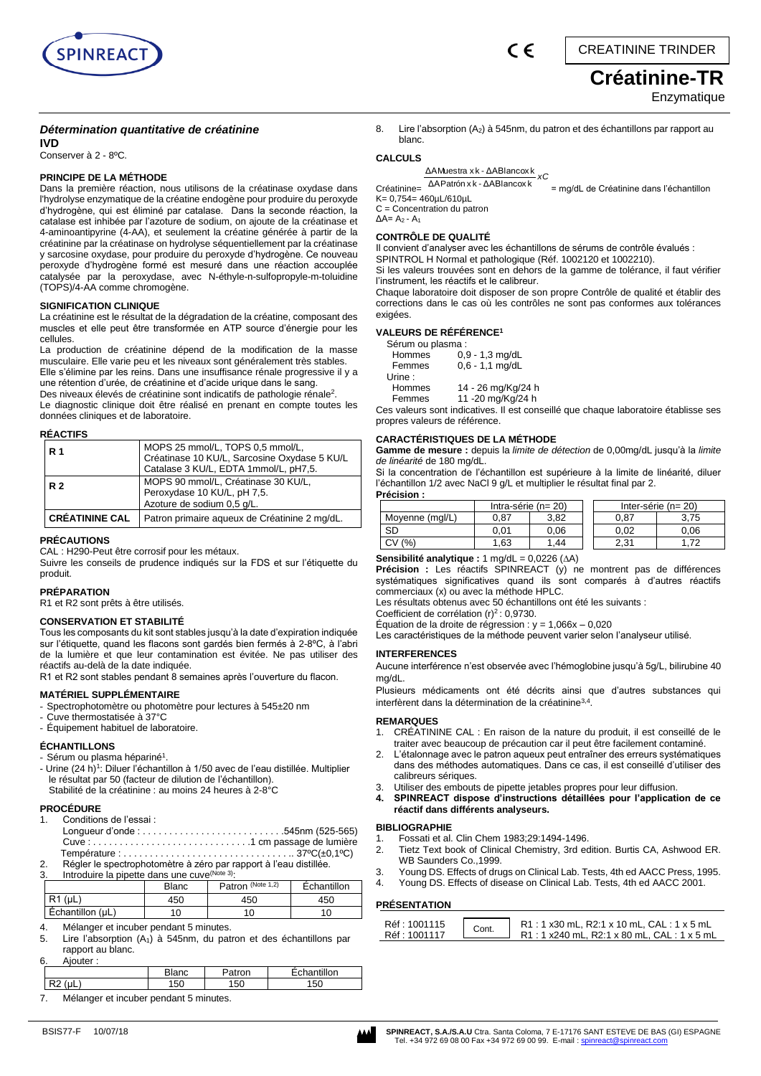

# **Créatinine-TR**

# **Enzymatique**

# *Détermination quantitative de créatinine*

**IVD**

#### Conserver à 2 - 8ºC.

#### **PRINCIPE DE LA MÉTHODE**

Dans la première réaction, nous utilisons de la créatinase oxydase dans l'hydrolyse enzymatique de la créatine endogène pour produire du peroxyde d'hydrogène, qui est éliminé par catalase. Dans la seconde réaction, la catalase est inhibée par l'azoture de sodium, on ajoute de la créatinase et 4-aminoantipyrine (4-AA), et seulement la créatine générée à partir de la créatinine par la créatinase on hydrolyse séquentiellement par la créatinase y sarcosine oxydase, pour produire du peroxyde d'hydrogène. Ce nouveau peroxyde d'hydrogène formé est mesuré dans une réaction accouplée catalysée par la peroxydase, avec N-éthyle-n-sulfopropyle-m-toluidine (TOPS)/4-AA comme chromogène.

#### **SIGNIFICATION CLINIQUE**

La créatinine est le résultat de la dégradation de la créatine, composant des muscles et elle peut être transformée en ATP source d'énergie pour les cellules.

La production de créatinine dépend de la modification de la masse musculaire. Elle varie peu et les niveaux sont généralement très stables. Elle s'élimine par les reins. Dans une insuffisance rénale progressive il y a une rétention d'urée, de créatinine et d'acide urique dans le sang. Des niveaux élevés de créatinine sont indicatifs de pathologie rénale<sup>2</sup>. Le diagnostic clinique doit être réalisé en prenant en compte toutes les données cliniques et de laboratoire.

#### **RÉACTIFS**

| R 1                   | MOPS 25 mmol/L, TOPS 0,5 mmol/L,<br>Créatinase 10 KU/L, Sarcosine Oxydase 5 KU/L<br>Catalase 3 KU/L, EDTA 1mmol/L, pH7,5. |
|-----------------------|---------------------------------------------------------------------------------------------------------------------------|
| R <sub>2</sub>        | MOPS 90 mmol/L, Créatinase 30 KU/L,<br>Peroxydase 10 KU/L, pH 7,5.<br>Azoture de sodium 0,5 g/L.                          |
| <b>CRÉATININE CAL</b> | Patron primaire aqueux de Créatinine 2 mg/dL.                                                                             |

#### **PRÉCAUTIONS**

CAL : H290-Peut être corrosif pour les métaux.

Suivre les conseils de prudence indiqués sur la FDS et sur l'étiquette du produit.

#### **PRÉPARATION**

R1 et R2 sont prêts à être utilisés.

# **CONSERVATION ET STABILITÉ**

Tous les composants du kit sont stables jusqu'à la date d'expiration indiquée sur l'étiquette, quand les flacons sont gardés bien fermés à 2-8ºC, à l'abri de la lumière et que leur contamination est évitée. Ne pas utiliser des réactifs au-delà de la date indiquée.

R1 et R2 sont stables pendant 8 semaines après l'ouverture du flacon.

#### **MATÉRIEL SUPPLÉMENTAIRE**

- Spectrophotomètre ou photomètre pour lectures à 545±20 nm

- Cuve thermostatisée à 37°C
- Équipement habituel de laboratoire.

#### **ÉCHANTILLONS**

- Sérum ou plasma hépariné<sup>1</sup>.
- Urine (24 h)<sup>1</sup>: Diluer l'échantillon à 1/50 avec de l'eau distillée. Multiplier le résultat par 50 (facteur de dilution de l'échantillon). Stabilité de la créatinine : au moins 24 heures à 2-8°C

#### **PROCÉDURE**

| 1. Conditions de l'essai :   |  |
|------------------------------|--|
|                              |  |
| Cuve:1 cm passage de lumière |  |
|                              |  |

2. Régler le spectrophotomètre à zéro par rapport à l'eau distillée.

3. Introduire la pipette dans une cuve (Note 3): Patron (Note 1,2) **Échantillon** R1 (μL) 450 450 450  $\left| \right|$  Echantillon (μL)  $\left| \right|$  10 10 10 10

4. Mélanger et incuber pendant 5 minutes.

5. Lire l'absorption (A1) à 545nm, du patron et des échantillons par rapport au blanc.

| 6.<br>Aiouter: |               |        |             |
|----------------|---------------|--------|-------------|
|                | Blanc         | Patron | Echantillon |
| (uL            | 150           | 150    | 150         |
| -<br>          | $\sim$ $\sim$ |        |             |

7. Mélanger et incuber pendant 5 minutes.



## **PRÉSENTATION**

| Réf: 1001115<br>R1:1x30 mL, R2:1x 10 mL, CAL:1x5 mL<br>Cont.<br>Réf : 1001117<br>$R1:1 x240 mL, R2:1 x 80 mL, CAL:1 x 5 mL$ |
|-----------------------------------------------------------------------------------------------------------------------------|
|-----------------------------------------------------------------------------------------------------------------------------|

8. Lire l'absorption  $(A_2)$  à 545nm, du patron et des échantillons par rapport au blanc. **CALCULS** 

 $\epsilon$ 

*xC* ΔAPatrón x k - ΔABlancox k ΔAMuestra x k - ΔABlancox k

Créatinine= = mg/dL de Créatinine dans l'échantillon K= 0,754= 460µL/610µL

C = Concentration du patron

 $\Delta$ A= A<sub>2</sub> - A<sub>1</sub>

#### **CONTRÔLE DE QUALITÉ**

Il convient d'analyser avec les échantillons de sérums de contrôle évalués : SPINTROL H Normal et pathologique (Réf. 1002120 et 1002210).

Si les valeurs trouvées sont en dehors de la gamme de tolérance, il faut vérifier l'instrument, les réactifs et le calibreur.

Chaque laboratoire doit disposer de son propre Contrôle de qualité et établir des corrections dans le cas où les contrôles ne sont pas conformes aux tolérances exigées.

#### **VALEURS DE RÉFÉRENCE<sup>1</sup>**

| Sérum ou plasma : |                    |
|-------------------|--------------------|
| Hommes            | 0.9 - 1,3 mg/dL    |
| Femmes            | $0.6 - 1.1$ mg/dL  |
| Urine:            |                    |
| Hommes            | 14 - 26 mg/Kg/24 h |
| Femmes            | 11 -20 mg/Kg/24 h  |

Ces valeurs sont indicatives. Il est conseillé que chaque laboratoire établisse ses propres valeurs de référence.

#### **CARACTÉRISTIQUES DE LA MÉTHODE**

**Gamme de mesure :** depuis la *limite de détection* de 0,00mg/dL jusqu'à la *limite de linéarité* de 180 mg/dL.

Si la concentration de l'échantillon est supérieure à la limite de linéarité, diluer l'échantillon 1/2 avec NaCl 9 g/L et multiplier le résultat final par 2. **Précision :**

|                 | Intra-série ( $n = 20$ ) |      | Inter-série ( $n = 20$ ) |      |
|-----------------|--------------------------|------|--------------------------|------|
| Moyenne (mgl/L) | 0.87                     | 3.82 | 0.87                     | 3.75 |
| <b>SD</b>       | 0.01                     | 0.06 | 0.02                     | 0.06 |
| (9/2)           | 1.63                     | 1.44 | 2.31                     | .72  |
|                 |                          |      |                          |      |

**Sensibilité analytique :** 1 mg/dL = 0,0226 (A)

**Précision :** Les réactifs SPINREACT (y) ne montrent pas de différences systématiques significatives quand ils sont comparés à d'autres réactifs commerciaux (x) ou avec la méthode HPLC.

Les résultats obtenus avec 50 échantillons ont été les suivants :

Coefficient de corrélation  $(r)^2$ : 0,9730.

Équation de la droite de régression :  $y = 1,066x - 0,020$ 

Les caractéristiques de la méthode peuvent varier selon l'analyseur utilisé.

#### **INTERFERENCES**

Aucune interférence n'est observée avec l'hémoglobine jusqu'à 5g/L, bilirubine 40 mg/dL.

Plusieurs médicaments ont été décrits ainsi que d'autres substances qui interfèrent dans la détermination de la créatinine3,4 .

#### **REMARQUES**

- 1. CRÉATININE CAL : En raison de la nature du produit, il est conseillé de le traiter avec beaucoup de précaution car il peut être facilement contaminé.
- 2. L'étalonnage avec le patron aqueux peut entraîner des erreurs systématiques dans des méthodes automatiques. Dans ce cas, il est conseillé d'utiliser des
- calibreurs sériques.
- 3. Utiliser des embouts de pipette jetables propres pour leur diffusion.
- **4. SPINREACT dispose d'instructions détaillées pour l'application de ce réactif dans différents analyseurs.**

#### **BIBLIOGRAPHIE**

- 1. Fossati et al. Clin Chem 1983;29:1494-1496.<br>2. Tietz Text book of Clinical Chemistry, 3rd et
- 2. Tietz Text book of Clinical Chemistry, 3rd edition. Burtis CA, Ashwood ER. WB Saunders Co.,1999.
- 3. Young DS. Effects of drugs on Clinical Lab. Tests, 4th ed AACC Press, 1995.
- 4. Young DS. Effects of disease on Clinical Lab. Tests, 4th ed AACC 2001.